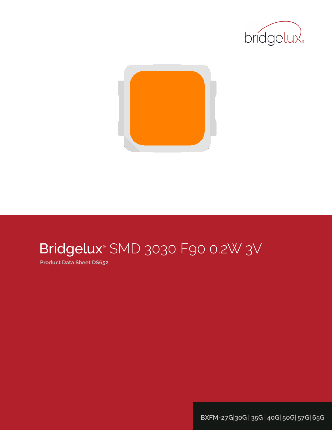



# Bridgelux® SMD 3030 F90 0.2W 3V

**Product Data Sheet DS652**

**BXFM-27G|30G | 35G | 40G| 50G| 57G| 65G**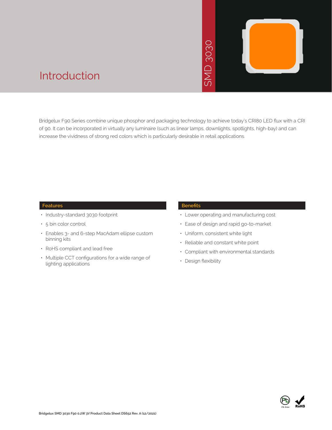# 3030 SMD 3030  $\overline{\phantom{0}}$ **INS**



### Introduction

Bridgelux F90 Series combine unique phosphor and packaging technology to achieve today's CRI80 LED flux with a CRI of 90. It can be incorporated in virtually any luminaire (such as linear lamps, downlights, spotlights, high-bay) and can increase the vividness of strong red colors which is particularly desirable in retail applications.

#### **Features**

- Industry-standard 3030 footprint
- 5 bin color control
- Enables 3- and 6-step MacAdam ellipse custom binning kits
- RoHS compliant and lead free
- Multiple CCT configurations for a wide range of lighting applications

#### **Benefits**

- • Lower operating and manufacturing cost
- Ease of design and rapid go-to-market
- • Uniform, consistent white light
- Reliable and constant white point
- • Compliant with environmental standards
- Design flexibility

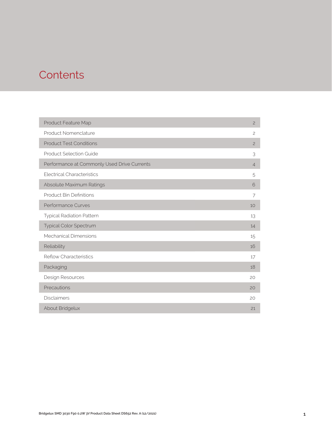### **Contents**

| Product Feature Map                         | $\overline{c}$ |
|---------------------------------------------|----------------|
| Product Nomenclature                        | $\overline{c}$ |
| <b>Product Test Conditions</b>              | $\overline{c}$ |
| <b>Product Selection Guide</b>              | 3              |
| Performance at Commonly Used Drive Currents | $\overline{4}$ |
| <b>Electrical Characteristics</b>           | 5              |
| Absolute Maximum Ratings                    | 6              |
| <b>Product Bin Definitions</b>              | 7              |
| Performance Curves                          | 10             |
| <b>Typical Radiation Pattern</b>            | 13             |
| Typical Color Spectrum                      | 14             |
| Mechanical Dimensions                       | 15             |
| Reliability                                 | 16             |
| <b>Reflow Characteristics</b>               | 17             |
| Packaging                                   | 18             |
| Design Resources                            | 20             |
| Precautions                                 | 20             |
| <b>Disclaimers</b>                          | 20             |
| About Bridgelux                             | 21             |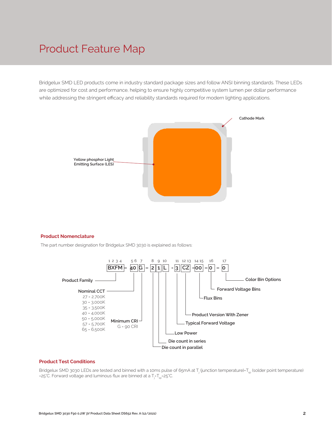### Product Feature Map

Bridgelux SMD LED products come in industry standard package sizes and follow ANSI binning standards. These LEDs are optimized for cost and performance, helping to ensure highly competitive system lumen per dollar performance while addressing the stringent efficacy and reliability standards required for modern lighting applications.



#### **Product Nomenclature**

The part number designation for Bridgelux SMD 3030 is explained as follows:



#### **Product Test Conditions**

Bridgelux SMD 3030 LEDs are tested and binned with a 10ms pulse of 65mA at T<sub>i</sub> (junction temperature)=T<sub>so</sub> (solder point temperature) =25°C. Forward voltage and luminous flux are binned at a  $\mathsf{T}_{\mathsf{j}}\mathsf{-}\mathsf{T}_{\mathsf{sp}}\mathsf{=}$ 25°C.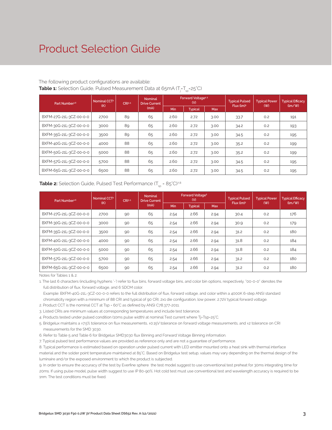### Product Selection Guide

#### The following product configurations are available: **Table 1:** Selection Guide, Pulsed Measurement Data at 65mA (T<sub>j</sub>=T<sub>sp</sub>=25°C)

| Part Number <sup>1,6</sup> | Nominal CCT <sup>2</sup><br>(K) | CRI <sup>3.5</sup> | <b>Nominal</b><br><b>Drive Current</b> |            | Forward Voltage <sup>4.5</sup><br>(V) |            | <b>Typical Pulsed</b><br>Flux (Im) <sup>5</sup> | <b>Typical Power</b><br>(W) | <b>Typical Efficacy</b><br>$\langle \text{Im}/\text{W} \rangle$ |
|----------------------------|---------------------------------|--------------------|----------------------------------------|------------|---------------------------------------|------------|-------------------------------------------------|-----------------------------|-----------------------------------------------------------------|
|                            |                                 |                    | (mA)                                   | <b>Min</b> | <b>Typical</b>                        | <b>Max</b> |                                                 |                             |                                                                 |
| BXFM-27G-21L-3CZ-00-0-0    | 2700                            | 89                 | 65                                     | 2.60       | 2.72                                  | 3.00       | 33.7                                            | 0.2                         | 191                                                             |
| BXFM-30G-21L-3CZ-00-0-0    | 3000                            | 89                 | 65                                     | 2.60       | 2.72                                  | 3.00       | 34.2                                            | O.2                         | 193                                                             |
| BXFM-35G-21L-3CZ-00-0-0    | 3500                            | 89                 | 65                                     | 2.60       | 2.72                                  | 3.00       | 34.5                                            | 0.2                         | 195                                                             |
| BXFM-40G-21L-3CZ-00-0-0    | 4000                            | 88                 | 65                                     | 2.60       | 2.72                                  | 3.00       | 35.2                                            | 0.2                         | 199                                                             |
| BXFM-50G-21L-3CZ-00-0-0    | 5000                            | 88                 | 65                                     | 2.60       | 2.72                                  | 3.00       | 35.2                                            | 0.2                         | 199                                                             |
| BXFM-57G-21L-3CZ-00-0-0    | 5700                            | 88                 | 65                                     | 2.60       | 2.72                                  | 3.00       | 34.5                                            | 0.2                         | 195                                                             |
| BXFM-65G-21L-3CZ-00-0-0    | 6500                            | 88                 | 65                                     | 2.60       | 2.72                                  | 3.00       | 34.5                                            | 0.2                         | 195                                                             |

#### **Table 2:** Selection Guide, Pulsed Test Performance (T<sub>sp</sub> = 85°C)<sup>7,8</sup>

| Part Number <sup>1,6</sup> | Nominal CCT <sup>2</sup><br>(K) | CRI <sup>3.5</sup> | <b>Nominal</b><br><b>Drive Current</b> |      | Forward Voltage <sup>5</sup><br>(V) |            | <b>Typical Pulsed</b><br>Flux (lm) <sup>5</sup> | <b>Typical Power</b><br>(W) | <b>Typical Efficacy</b><br>$\langle \text{Im}/\text{W} \rangle$ |
|----------------------------|---------------------------------|--------------------|----------------------------------------|------|-------------------------------------|------------|-------------------------------------------------|-----------------------------|-----------------------------------------------------------------|
|                            |                                 |                    | (mA)                                   | Min  | <b>Typical</b>                      | <b>Max</b> |                                                 |                             |                                                                 |
| BXFM-27G-21L-3CZ-00-0-0    | 2700                            | 90                 | 65                                     | 2.54 | 2.66                                | 2.94       | 30.4                                            | 0.2                         | 176                                                             |
| BXFM-30G-21L-3CZ-00-0-0    | 3000                            | 90                 | 65                                     | 2.54 | 2.66                                | 2.94       | 30.9                                            | 0.2                         | 179                                                             |
| BXFM-35G-21L-3CZ-00-0-0    | 3500                            | 90                 | 65                                     | 2.54 | 2.66                                | 2.94       | 31.2                                            | O.2                         | 180                                                             |
| BXFM-40G-21L-3CZ-00-0-0    | 4000                            | 90                 | 65                                     | 2.54 | 2.66                                | 2.94       | 31.8                                            | 0.2                         | 184                                                             |
| BXFM-50G-21L-3CZ-00-0-0    | 5000                            | 90                 | 65                                     | 2.54 | 2.66                                | 2.94       | 31.8                                            | 0.2                         | 184                                                             |
| BXFM-57G-21L-3CZ-00-0-0    | 5700                            | 90                 | 65                                     | 2.54 | 2.66                                | 2.94       | 31.2                                            | 0.2                         | 180                                                             |
| BXFM-65G-21L-3CZ-00-0-0    | 6500                            | 90                 | 65                                     | 2.54 | 2.66                                | 2.94       | 31.2                                            | 0.2                         | 180                                                             |

Notes for Tables 1 & 2:

1. The last 6 characters (including hyphens '-') refer to flux bins, forward voltage bins, and color bin options, respectively. "00-0-0" denotes the full distribution of flux, forward voltage, and 6 SDCM color.

 Example: BXFM-40G-21L-3CZ-00-0-0 refers to the full distribution of flux, forward voltage, and color within a 4000K 6-step ANSI standard chromaticity region with a minimum of 88 CRI and typical of 90 CRI, 2x1 die configuration, low power, 2.72V typical forward voltage.

2. Product CCT is the nominal CCT at Tsp = 60°C as defined by ANSI C78.377-2011.

3. Listed CRIs are minimum values at corresponding temperatures and include test tolerance.

4. Products tested under pulsed condition (10ms pulse width) at nominal Test current where Tj=Tsp=25°C.

5. Bridgelux maintains a ±7.5% tolerance on flux measurements, ±0.15V tolerance on forward voltage measurements, and ±2 tolerance on CRI measurements for the SMD 3030.

6. Refer to Table 5 and Table 6 for Bridgelux SMD3030 flux Binning and Forward Voltage Binning information.

7. Typical pulsed test performance values are provided as reference only and are not a guarantee of performance.

8. Typical performance is estimated based on operation under pulsed current with LED emitter mounted onto a heat sink with thermal interface material and the solder point temperature maintained at 85°C. Based on Bridgelux test setup, values may vary depending on the thermal design of the luminaire and/or the exposed environment to which the product is subjected.

9. In order to ensure the accuracy of the test by Everfine sphere the test model suggest to use conventional test preheat for 30ms integrating time for 20ms. If using pulse model, pulse width suggest to use IP 80-90%. Hot cold test must use conventional test and wavelength accuracy is required to be 1nm. The test conditions must be fixed.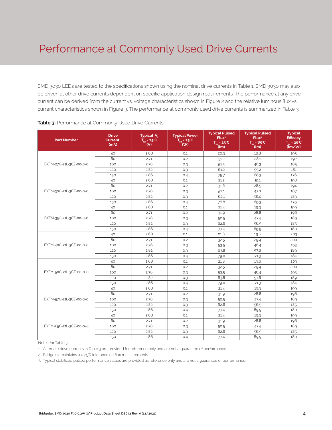SMD 3030 LEDs are tested to the specifications shown using the nominal drive currents in Table 1. SMD 3030 may also be driven at other drive currents dependent on specific application design requirements. The performance at any drive current can be derived from the current vs. voltage characteristics shown in Figure 2 and the relative luminous flux vs. current characteristics shown in Figure 3. The performance at commonly used drive currents is summarized in Table 3.

| <b>Part Number</b>      | <b>Drive</b><br>Current <sup>1</sup><br>(mA) | Typical V.<br>$T_{\rm SD}$ = 25°C<br>(V) | <b>Typical Power</b><br>$T_{\rm so}$ = 25°C<br>$($ W) | <b>Typical Pulsed</b><br>Flux <sup>2</sup><br>$T_{so} = 25^{\circ}C$<br>(lm) | <b>Typical Pulsed</b><br>Flux <sup>2</sup><br>$\overline{T}_{\rm sp}$ = 85°C<br>(lm) | <b>Typical</b><br><b>Efficacy</b><br>$\overline{T_{\rm sn}}$ = 25 <sup>°</sup> C<br>$\lim_{\sim}$ |
|-------------------------|----------------------------------------------|------------------------------------------|-------------------------------------------------------|------------------------------------------------------------------------------|--------------------------------------------------------------------------------------|---------------------------------------------------------------------------------------------------|
|                         | 40                                           | 2.68                                     | 0.1                                                   | 20.9                                                                         | 18.8                                                                                 | 195                                                                                               |
|                         | 60                                           | 2.71                                     | 0.2                                                   | 31.2                                                                         | 28.1                                                                                 | 192                                                                                               |
| BXFM-27G-21L-3CZ-00-0-0 | 100                                          | 2.78                                     | 0.3                                                   | 51.3                                                                         | 46.3                                                                                 | 185                                                                                               |
|                         | 120                                          | 2.82                                     | 0.3                                                   | 61.2                                                                         | 55.2                                                                                 | 181                                                                                               |
|                         | 150                                          | 2.86                                     | 0.4                                                   | 75.7                                                                         | 68.3                                                                                 | 176                                                                                               |
|                         | 40                                           | 2.68                                     | 0.1                                                   | 21.2                                                                         | 19.1                                                                                 | 198                                                                                               |
|                         | 60                                           | 2.71                                     | 0.2                                                   | 31.6                                                                         | 28.5                                                                                 | 194                                                                                               |
| BXFM-30G-21L-3CZ-00-0-0 | 100                                          | 2.78                                     | 0.3                                                   | 52.1                                                                         | 47.0                                                                                 | 187                                                                                               |
|                         | 120                                          | 2.82                                     | 0.3                                                   | 62.1                                                                         | 56.0                                                                                 | 183                                                                                               |
|                         | 150                                          | 2.86                                     | 0.4                                                   | 76.8                                                                         | 69.3                                                                                 | 179                                                                                               |
|                         | 40                                           | 2.68                                     | 0.1                                                   | 21.4                                                                         | 19.3                                                                                 | 199                                                                                               |
|                         | 60                                           | 2.71                                     | 0.2                                                   | 31.9                                                                         | 28.8                                                                                 | 196                                                                                               |
| BXFM-35G-21L-3CZ-00-0-0 | 100                                          | 2.78                                     | 0.3                                                   | 52.5                                                                         | 47.4                                                                                 | 189                                                                                               |
|                         | 120                                          | 2.82                                     | 0.3                                                   | 62.6                                                                         | 56.5                                                                                 | 185                                                                                               |
|                         | 150                                          | 2.86                                     | 0.4                                                   | 77.4                                                                         | 69.9                                                                                 | 180                                                                                               |
|                         | 40                                           | 2.68                                     | O.1                                                   | 21.8                                                                         | 19.6                                                                                 | 203                                                                                               |
|                         | 60                                           | 2.71                                     | 0.2                                                   | 32.5                                                                         | 29.4                                                                                 | 200                                                                                               |
| BXFM-40G-21L-3CZ-00-0-0 | 100                                          | 2.78                                     | 0.3                                                   | 53.5                                                                         | 48.4                                                                                 | 193                                                                                               |
|                         | 120                                          | 2.82                                     | 0.3                                                   | 63.8                                                                         | 57.6                                                                                 | 189                                                                                               |
|                         | 150                                          | 2.86                                     | 0.4                                                   | 79.0                                                                         | 71.3                                                                                 | 184                                                                                               |
|                         | 40                                           | 2.68                                     | 0.1                                                   | 21.8                                                                         | 19.6                                                                                 | 203                                                                                               |
|                         | 60                                           | 2.71                                     | 0.2                                                   | 32.5                                                                         | 29.4                                                                                 | 200                                                                                               |
| BXFM-50G-21L-3CZ-00-0-0 | 100                                          | 2.78                                     | 0.3                                                   | 53.5                                                                         | 48.4                                                                                 | 193                                                                                               |
|                         | 120                                          | 2.82                                     | 0.3                                                   | 63.8                                                                         | 57.6                                                                                 | 189                                                                                               |
|                         | 150                                          | 2.86                                     | 0.4                                                   | 79.0                                                                         | 71.3                                                                                 | 184                                                                                               |
|                         | 40                                           | 2.68                                     | O.1                                                   | 21.4                                                                         | 19.3                                                                                 | 199                                                                                               |
|                         | 60                                           | 2.71                                     | 0.2                                                   | 31.9                                                                         | 28.8                                                                                 | 196                                                                                               |
| BXFM-57G-21L-3CZ-00-0-0 | 100                                          | 2.78                                     | 0.3                                                   | 52.5                                                                         | 47.4                                                                                 | 189                                                                                               |
|                         | 120                                          | 2.82                                     | 0.3                                                   | 62.6                                                                         | 56.5                                                                                 | 185                                                                                               |
|                         | 150                                          | 2.86                                     | 0.4                                                   | 77.4                                                                         | 69.9                                                                                 | 180                                                                                               |
|                         | 40                                           | 2.68                                     | O.1                                                   | 21.4                                                                         | 19.3                                                                                 | 199                                                                                               |
|                         | 60                                           | 2.71                                     | 0.2                                                   | 31.9                                                                         | 28.8                                                                                 | 196                                                                                               |
| BXFM-65G-21L-3CZ-00-0-0 | 100                                          | 2.78                                     | 0.3                                                   | 52.5                                                                         | 47.4                                                                                 | 189                                                                                               |
|                         | 120                                          | 2.82                                     | 0.3                                                   | 62.6                                                                         | 56.5                                                                                 | 185                                                                                               |
|                         | 150                                          | 2.86                                     | 0.4                                                   | 77.4                                                                         | 69.9                                                                                 | 180                                                                                               |

#### **Table 3:** Performance at Commonly Used Drive Currents

Notes for Table 3:

1. Alternate drive currents in Table 3 are provided for reference only and are not a guarantee of performance.

2. Bridgelux maintains a  $\pm$  7.5% tolerance on flux measurements.

3. Typical stabilized pulsed performance values are provided as reference only and are not a guarantee of performance.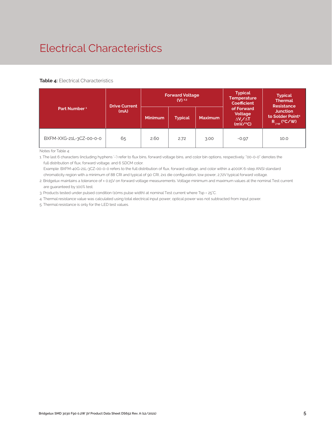### Electrical Characteristics

#### **Table 4:** Electrical Characteristics

|                          | <b>Drive Current</b> |                | <b>Forward Voltage</b><br>$(V)$ 2.3 |                | <b>Typical</b><br><b>Temperature</b><br><b>Coefficient</b> | <b>Typical</b><br><b>Thermal</b><br><b>Resistance</b>                      |  |
|--------------------------|----------------------|----------------|-------------------------------------|----------------|------------------------------------------------------------|----------------------------------------------------------------------------|--|
| Part Number <sup>1</sup> | (mA)                 | <b>Minimum</b> | <b>Typical</b>                      | <b>Maximum</b> | of Forward<br>Voltage<br>$\Delta V / \Delta T$<br>(mV/C)   | <b>Junction</b><br>to Solder Point <sup>4</sup><br>$R_{\text{isp}}$ (°C/W) |  |
| BXFM-XXG-21L-3CZ-00-0-0  | 65                   | 2.60           | 2.72                                | 3.00           | $-0.97$                                                    | 10.0                                                                       |  |

Notes for Table 4:

1. The last 6 characters (including hyphens '-') refer to flux bins, forward voltage bins, and color bin options, respectively. "00-0-0" denotes the full distribution of flux, forward voltage, and 6 SDCM color.

 Example: BXFM-40G-21L-3CZ-00-0-0 refers to the full distribution of flux, forward voltage, and color within a 4000K 6-step ANSI standard chromaticity region with a minimum of 88 CRI and typical of 90 CRI, 2x1 die configuration, low power, 2.72V typical forward voltage.

2. Bridgelux maintains a tolerance of ± 0.15V on forward voltage measurements. Voltage minimum and maximum values at the nominal Test current are guaranteed by 100% test.

3. Products tested under pulsed condition (10ms pulse width) at nominal Test current where Tsp = 25°C.

4. Thermal resistance value was calculated using total electrical input power; optical power was not subtracted from input power.

5. Thermal resistance is only for the LED test values.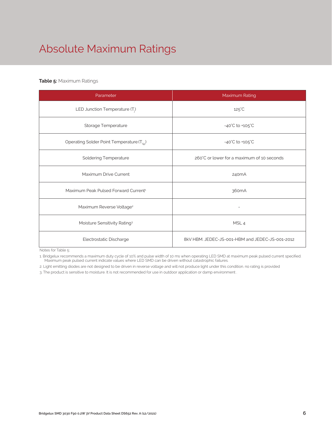## Absolute Maximum Ratings

#### **Table 5:** Maximum Ratings

| Parameter                                             | Maximum Rating                                  |  |  |
|-------------------------------------------------------|-------------------------------------------------|--|--|
| LED Junction Temperature $(T_i)$                      | $125^{\circ}$ C                                 |  |  |
| Storage Temperature                                   | $-40^{\circ}$ C to $+105^{\circ}$ C             |  |  |
| Operating Solder Point Temperature (T <sub>Sp</sub> ) | $-40^{\circ}$ C to $+105^{\circ}$ C             |  |  |
| <b>Soldering Temperature</b>                          | 260°C or lower for a maximum of 10 seconds      |  |  |
| Maximum Drive Current                                 | 240mA                                           |  |  |
| Maximum Peak Pulsed Forward Current <sup>1</sup>      | 360 <sub>m</sub> A                              |  |  |
| Maximum Reverse Voltage <sup>2</sup>                  |                                                 |  |  |
| Moisture Sensitivity Rating <sup>3</sup>              | MSL <sub>4</sub>                                |  |  |
| Electrostatic Discharge                               | 8kV HBM, JEDEC-JS-001-HBM and JEDEC-JS-001-2012 |  |  |

Notes for Table 5:

1. Bridgelux recommends a maximum duty cycle of 10% and pulse width of 10 ms when operating LED SMD at maximum peak pulsed current specified. Maximum peak pulsed current indicate values where LED SMD can be driven without catastrophic failures.

2. Light emitting diodes are not designed to be driven in reverse voltage and will not produce light under this condition. no rating is provided

3. The product is sensitive to moisture. It is not recommended for use in outdoor application or damp environment .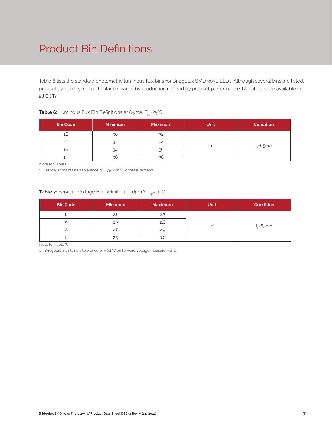### Product Bin Definitions

Table 6 lists the standard photometric luminous flux bins for Bridgelux SMD 3030 LEDs. Although several bins are listed, product availability in a particular bin varies by production run and by product performance. Not all bins are available in all CCTs.

#### **Table 6:** Luminous flux Bin Definitions at 65mA, T<sub>sp</sub>=25°C

| <b>Bin Code</b> | <b>Minimum</b> | <b>Maximum</b> | <b>Unit</b> | <b>Condition</b> |
|-----------------|----------------|----------------|-------------|------------------|
|                 | 30             | 32             |             |                  |
|                 | 32             | 34             |             |                  |
| 1G              | 34             | 36             | lm          | $I_F = 65mA$     |
| TH.             | 36             | 38             |             |                  |

Note for Table 6:

1. Bridgelux maintains a tolerance of ± 7.5% on flux measurements.

#### **Table 7:** Forward Voltage Bin Definition at 65mA, T<sub>sp</sub>=25°C

| <b>Bin Code</b> | <b>Minimum</b> | <b>Maximum</b> | <b>Unit</b> | <b>Condition</b> |
|-----------------|----------------|----------------|-------------|------------------|
|                 | 2.6            | 2.7            |             |                  |
|                 | 2.7            | 2.8            |             |                  |
|                 | 2.8            | 2.9            |             | $I_F = 65mA$     |
| ь               | 2.9            | 3.0            |             |                  |

Note for Table 7:

1. Bridgelux maintains a tolerance of ± 0.15V on forward voltage measurements.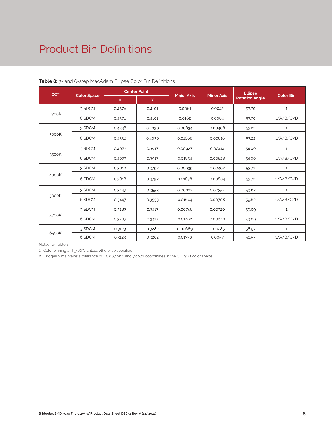### Product Bin Definitions

| <b>CCT</b> |                    | <b>Center Point</b> |        |                   | <b>Minor Axis</b> | <b>Ellipse</b>        | <b>Color Bin</b> |
|------------|--------------------|---------------------|--------|-------------------|-------------------|-----------------------|------------------|
|            | <b>Color Space</b> | $\mathsf{x}$        | Y      | <b>Major Axis</b> |                   | <b>Rotation Angle</b> |                  |
|            | 3 SDCM             | 0.4578              | 0.4101 | 0.0081            | 0.0042            | 53.70                 | $\mathbf{1}$     |
| 2700K      | 6 SDCM             | 0.4578              | 0.4101 | 0.0162            | 0.0084            | 53.70                 | 1/A/B/C/D        |
|            | 3 SDCM             | 0.4338              | 0.4030 | 0.00834           | 0.00408           | 53.22                 | $\mathbf{1}$     |
| 3000K      | 6 SDCM             | 0.4338              | 0.4030 | 0.01668           | 0.00816           | 53.22                 | 1/A/B/C/D        |
|            | 3 SDCM             | 0.4073              | 0.3917 | 0.00927           | 0.00414           | 54.00                 | $\mathbf{1}$     |
| 3500K      | 6 SDCM             | 0.4073              | 0.3917 | 0.01854           | 0.00828           | 54.00                 | 1/A/B/C/D        |
|            | 3 SDCM             | 0.3818              | 0.3797 | 0.00939           | 0.00402           | 53.72                 | $\mathbf{1}$     |
| 4000K      | 6 SDCM             | 0.3818              | 0.3797 | 0.01878           | 0.00804           | 53.72                 | 1/A/B/C/D        |
|            | 3 SDCM             | 0.3447              | 0.3553 | 0.00822           | 0.00354           | 59.62                 | $\mathbf{1}$     |
| 5000K      | 6 SDCM             | 0.3447              | 0.3553 | 0.01644           | 0.00708           | 59.62                 | 1/A/B/C/D        |
|            | 3 SDCM             | 0.3287              | 0.3417 | 0.00746           | 0.00320           | 59.09                 | $\mathbf{1}$     |
| 5700K      | 6 SDCM             | 0.3287              | 0.3417 | 0.01492           | 0.00640           | 59.09                 | 1/A/B/C/D        |
|            | 3 SDCM             | 0.3123              | 0.3282 | 0.00669           | 0.00285           | 58.57                 | $\mathbf{1}$     |
| 6500K      | 6 SDCM             | 0.3123              | 0.3282 | 0.01338           | 0.0057            | 58.57                 | 1/A/B/C/D        |

**Table 8:** 3- and 6-step MacAdam Ellipse Color Bin Definitions

Notes for Table 8:

1. Color binning at  $T_{sp}$ =60°C unless otherwise specified

2. Bridgelux maintains a tolerance of ± 0.007 on x and y color coordinates in the CIE 1931 color space.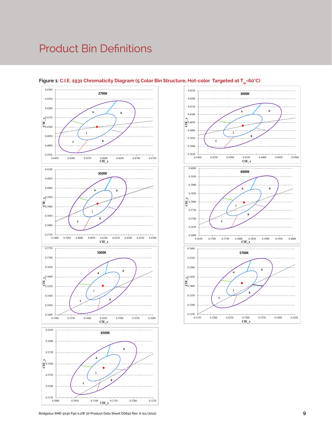### Product Bin Definitions







**Bridgelux SMD 3030 F90 0.2W 3V Product Data Sheet DS652 Rev. A (12/2021)**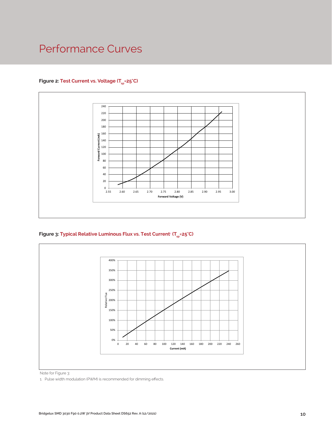### Performance Curves

#### Figure 2: Test Current vs. Voltage (T<sub>sp</sub>=25°C)



**Figure 3: Typical Relative Luminous Flux vs. Test Current**<sup>1</sup>  **(Tsp=25°C)**



Note for Figure 3:

1. Pulse width modulation (PWM) is recommended for dimming effects.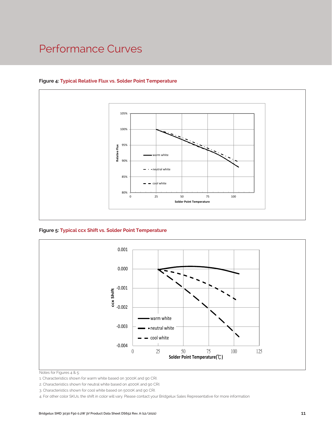### Performance Curves



#### **Figure 4: Typical Relative Flux vs. Solder Point Temperature**

**Figure 5: Typical ccx Shift vs. Solder Point Temperature**



Notes for Figures 4 & 5:

1. Characteristics shown for warm white based on 3000K and 90 CRI.

2. Characteristics shown for neutral white based on 4000K and 90 CRI.

3. Characteristics shown for cool white based on 5000K and 90 CRI.

4. For other color SKUs, the shift in color will vary. Please contact your Bridgelux Sales Representative for more information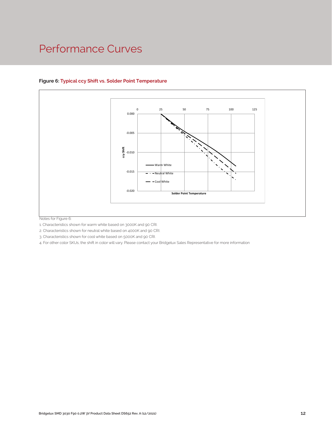### Performance Curves



#### **Figure 6: Typical ccy Shift vs. Solder Point Temperature**

Notes for Figure 6:

1. Characteristics shown for warm white based on 3000K and 90 CRI.

2. Characteristics shown for neutral white based on 4000K and 90 CRI.

3. Characteristics shown for cool white based on 5000K and 90 CRI.

4. For other color SKUs, the shift in color will vary. Please contact your Bridgelux Sales Representative for more information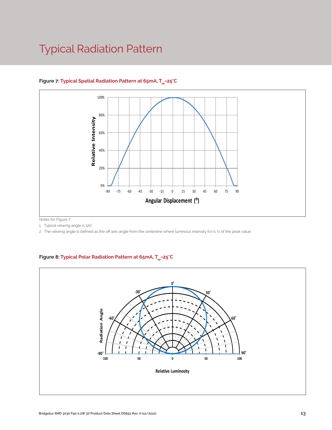### Typical Radiation Pattern



#### Figure 7: Typical Spatial Radiation Pattern at 65mA, T<sub>sp</sub>=25°C

Notes for Figure 7:

1. Typical viewing angle is 120°. .

2. The viewing angle is defined as the off axis angle from the centerline where luminous intensity (Iv) is 1/2 of the peak value.

#### Figure 8: Typical Polar Radiation Pattern at 65mA, T<sub>sp</sub>=25°C

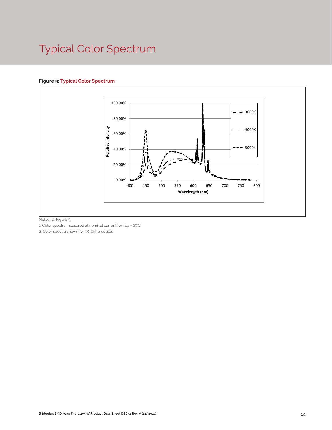## Typical Color Spectrum

#### **Figure 9: Typical Color Spectrum**



Notes for Figure 9:

1. Color spectra measured at nominal current for Tsp = 25°C

2. Color spectra shown for 90 CRI products.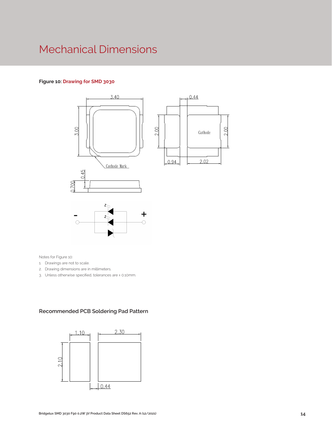### Mechanical Dimensions

#### **Figure 10: Drawing for SMD 3030**



Notes for Figure 10:

- 1. Drawings are not to scale.
- 2. Drawing dimensions are in millimeters.
- 3. Unless otherwise specified, tolerances are ± 0.10mm.

#### **Recommended PCB Soldering Pad Pattern**

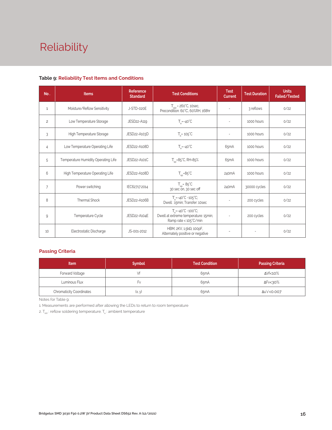# Reliability

#### **Table 9: Reliability Test Items and Conditions**

| No.            | <b>Items</b>                        | <b>Reference</b><br><b>Standard</b> | <b>Test Conditions</b>                                                                                    | <b>Test</b><br>Current   | <b>Test Duration</b> | <b>Units</b><br>Failed/Tested |
|----------------|-------------------------------------|-------------------------------------|-----------------------------------------------------------------------------------------------------------|--------------------------|----------------------|-------------------------------|
| 1              | Moisture/Reflow Sensitivity         | J-STD-020E                          | $T_{\text{cld}}$ = 260°C, 10sec,<br>Precondition: 60°C, 60%RH, 168hr                                      |                          | 3 reflows            | 0/22                          |
| $\overline{c}$ | Low Temperature Storage             | JESD22-A119                         | $T_a = -40^{\circ}C$                                                                                      | $\sim$                   | 1000 hours           | 0/22                          |
| 3              | High Temperature Storage            | JESD22-A103D                        | $T_a = 105^{\circ}$ C                                                                                     |                          | 1000 hours           | 0/22                          |
| $\overline{4}$ | Low Temperature Operating Life      | JESD22-A108D                        | $T_s = -40^{\circ}C$                                                                                      | 65 <sub>m</sub> A        | 1000 hours           | 0/22                          |
| 5              | Temperature Humidity Operating Life | JESD22-A101C                        | $T_{\rm SD} = 85^{\circ}$ C, RH=85%                                                                       | 65 <sub>m</sub> A        | 1000 hours           | 0/22                          |
| 6              | High Temperature Operating Life     | JESD22-A108D                        | $T_{\rm sn} = 85^{\circ}C$                                                                                | 240 <sub>m</sub> A       | 1000 hours           | 0/22                          |
| $\overline{7}$ | Power switching                     | IEC62717:2014                       | $T_{sp} = 85^{\circ}C$<br>30 sec on, 30 sec off                                                           | 240mA                    | 30000 cycles         | 0/22                          |
| 8              | Thermal Shock                       | JESD22-A106B                        | $T_a = -40^{\circ}C - 105^{\circ}C$ ;<br>Dwell: 15min; Transfer: 10sec                                    |                          | 200 cycles           | 0/22                          |
| 9              | Temperature Cycle                   | JESD22-A104E                        | $T_a = -40^{\circ}C \sim 100^{\circ}C$ ;<br>Dwell at extreme temperature: 15min;<br>Ramp rate < 105°C/min |                          | 200 cycles           | 0/22                          |
| 10             | Electrostatic Discharge             | JS-001-2012                         | HBM, $2KV$ , $1.5k\Omega$ , 100pF,<br>Alternately positive or negative                                    | $\overline{\phantom{a}}$ | ÷,                   | 0/22                          |

#### **Passing Criteria**

| <b>Item</b>                     | <b>Symbol</b> | <b>Test Condition</b> | <b>Passing Criteria</b> |
|---------------------------------|---------------|-----------------------|-------------------------|
| Forward Voltage                 |               | 65mA                  | ΔVf<10%                 |
| Luminous Flux                   | ۲v            | 65 <sub>m</sub> A     | ΔFν<30%                 |
| <b>Chromaticity Coordinates</b> | (x, y)        | 65 <sub>m</sub> A     | Δu'v'<0.007             |

Notes for Table 9:

1. Measurements are performed after allowing the LEDs to return to room temperature

2.  $T_{\text{std}}$ : reflow soldering temperature;  $T_{\text{ad}}$ : ambient temperature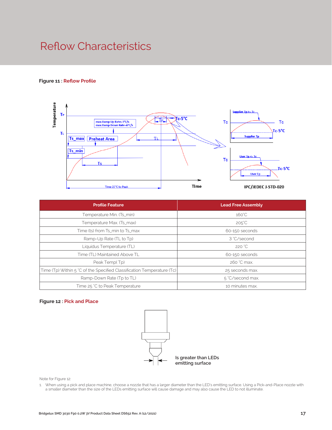### Reflow Characteristics

#### **Figure 11 : Reflow Profile**



| <b>Profile Feature</b>                                                 | <b>Lead Free Assembly</b> |  |  |
|------------------------------------------------------------------------|---------------------------|--|--|
| Temperature Min. (Ts_min)                                              | $160^{\circ}$ C           |  |  |
| Temperature Max. (Ts_max)                                              | $205^{\circ}C$            |  |  |
| Time (ts) from Ts_min to Ts_max                                        | 60-150 seconds            |  |  |
| Ramp-Up Rate (TL to Tp)                                                | 3 °C/second               |  |  |
| Liquidus Temperature (TL)                                              | 220 °C                    |  |  |
| Time (TL) Maintained Above TL                                          | 60-150 seconds            |  |  |
| Peak Temp(Tp)                                                          | 260 °C max.               |  |  |
| Time (Tp) Within 5 °C of the Specified Classification Temperature (Tc) | 25 seconds max.           |  |  |
| Ramp-Down Rate (Tp to TL)                                              | 5 °C/second max.          |  |  |
| Time 25 °C to Peak Temperature                                         | 10 minutes max.           |  |  |

#### **Figure 12 : Pick and Place**



Note for Figure 12:

1. When using a pick and place machine, choose a nozzle that has a larger diameter than the LED's emitting surface. Using a Pick-and-Place nozzle with a smaller diameter than the size of the LEDs emitting surface will cause damage and may also cause the LED to not illuminate.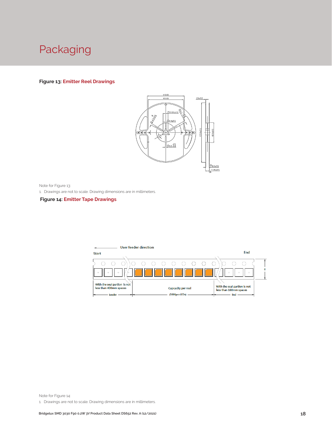

#### **Figure 13: Emitter Reel Drawings**



Note for Figure 13:

1. Drawings are not to scale. Drawing dimensions are in millimeters.

#### **Figure 14: Emitter Tape Drawings**



Note for Figure 14:

1. Drawings are not to scale. Drawing dimensions are in millimeters.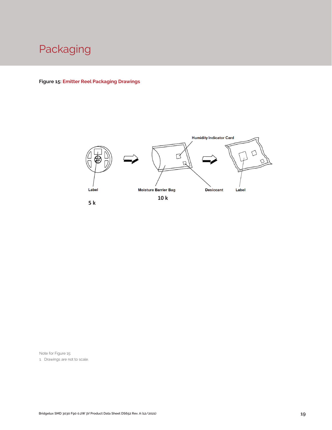

**Figure 15: Emitter Reel Packaging Drawings**



Note for Figure 15:

1. Drawings are not to scale.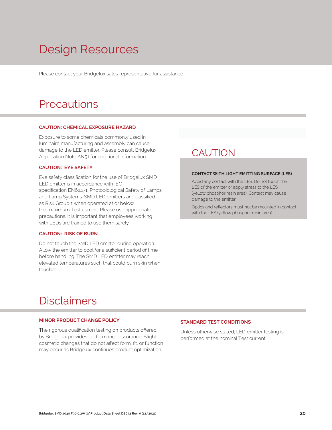## Design Resources

Please contact your Bridgelux sales representative for assistance.

### **Precautions**

#### **CAUTION: CHEMICAL EXPOSURE HAZARD**

Exposure to some chemicals commonly used in luminaire manufacturing and assembly can cause damage to the LED emitter. Please consult Bridgelux Application Note AN51 for additional information.

#### **CAUTION: EYE SAFETY**

Eye safety classification for the use of Bridgelux SMD LED emitter is in accordance with IEC specification EN62471: Photobiological Safety of Lamps and Lamp Systems. SMD LED emitters are classified as Risk Group 1 when operated at or below the maximum Test current. Please use appropriate precautions. It is important that employees working with LEDs are trained to use them safely.

#### **CAUTION: RISK OF BURN**

Do not touch the SMD LED emitter during operation. Allow the emitter to cool for a sufficient period of time before handling. The SMD LED emitter may reach elevated temperatures such that could burn skin when touched.

### **CAUTION**

#### **CONTACT WITH LIGHT EMITTING SURFACE (LES)**

Avoid any contact with the LES. Do not touch the LES of the emitter or apply stress to the LES (yellow phosphor resin area). Contact may cause damage to the emitter

Optics and reflectors must not be mounted in contact with the LES (yellow phosphor resin area).

### Disclaimers

#### **MINOR PRODUCT CHANGE POLICY**

The rigorous qualification testing on products offered by Bridgelux provides performance assurance. Slight cosmetic changes that do not affect form, fit, or function may occur as Bridgelux continues product optimization.

#### **STANDARD TEST CONDITIONS**

Unless otherwise stated, LED emitter testing is performed at the nominal Test current.